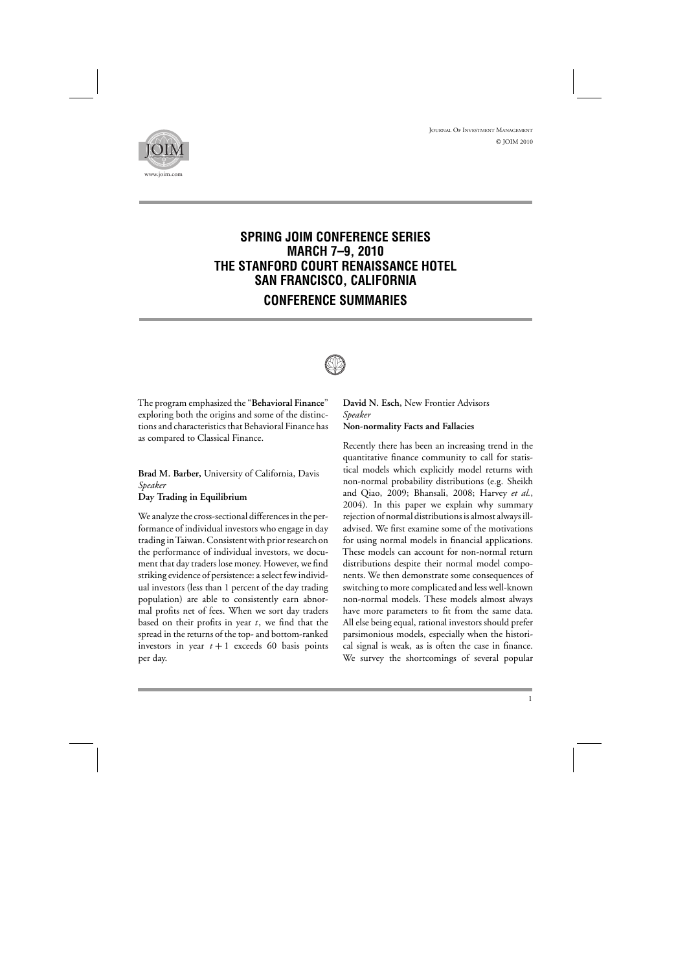



## **SPRING JOIM CONFERENCE SERIES MARCH 7–9, 2010 THE STANFORD COURT RENAISSANCE HOTEL SAN FRANCISCO, CALIFORNIA CONFERENCE SUMMARIES**



The program emphasized the "**Behavioral Finance**" exploring both the origins and some of the distinctions and characteristics that Behavioral Finance has as compared to Classical Finance.

**Brad M. Barber,** University of California, Davis *Speaker* **Day Trading in Equilibrium**

We analyze the cross-sectional differences in the performance of individual investors who engage in day trading inTaiwan. Consistent with prior research on the performance of individual investors, we document that day traders lose money. However, we find striking evidence of persistence: a select few individual investors (less than 1 percent of the day trading population) are able to consistently earn abnormal profits net of fees. When we sort day traders based on their profits in year *t*, we find that the spread in the returns of the top- and bottom-ranked investors in year  $t + 1$  exceeds 60 basis points per day.

**David N. Esch,** New Frontier Advisors *Speaker* **Non-normality Facts and Fallacies**

Recently there has been an increasing trend in the quantitative finance community to call for statistical models which explicitly model returns with non-normal probability distributions (e.g. Sheikh and Qiao, 2009; Bhansali, 2008; Harvey *et al.*, 2004). In this paper we explain why summary rejection of normal distributions is almost always illadvised. We first examine some of the motivations for using normal models in financial applications. These models can account for non-normal return distributions despite their normal model components. We then demonstrate some consequences of switching to more complicated and less well-known non-normal models. These models almost always have more parameters to fit from the same data. All else being equal, rational investors should prefer parsimonious models, especially when the historical signal is weak, as is often the case in finance. We survey the shortcomings of several popular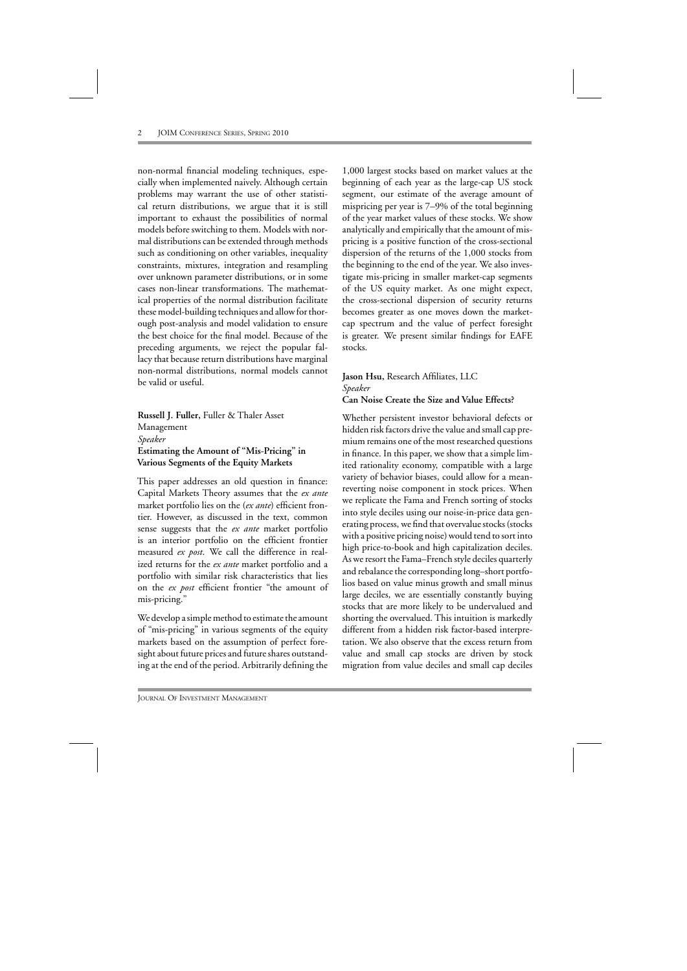non-normal financial modeling techniques, especially when implemented naively. Although certain problems may warrant the use of other statistical return distributions, we argue that it is still important to exhaust the possibilities of normal models before switching to them. Models with normal distributions can be extended through methods such as conditioning on other variables, inequality constraints, mixtures, integration and resampling over unknown parameter distributions, or in some cases non-linear transformations. The mathematical properties of the normal distribution facilitate these model-building techniques and allow for thorough post-analysis and model validation to ensure the best choice for the final model. Because of the preceding arguments, we reject the popular fallacy that because return distributions have marginal non-normal distributions, normal models cannot be valid or useful.

**Russell J. Fuller,** Fuller & Thaler Asset Management *Speaker* **Estimating the Amount of "Mis-Pricing" in Various Segments of the Equity Markets**

This paper addresses an old question in finance: Capital Markets Theory assumes that the *ex ante* market portfolio lies on the (*ex ante*) efficient frontier. However, as discussed in the text, common sense suggests that the *ex ante* market portfolio is an interior portfolio on the efficient frontier measured *ex post*. We call the difference in realized returns for the *ex ante* market portfolio and a portfolio with similar risk characteristics that lies on the *ex post* efficient frontier "the amount of mis-pricing."

We develop a simple method to estimate the amount of "mis-pricing" in various segments of the equity markets based on the assumption of perfect foresight about future prices and future shares outstanding at the end of the period. Arbitrarily defining the 1,000 largest stocks based on market values at the beginning of each year as the large-cap US stock segment, our estimate of the average amount of mispricing per year is 7–9% of the total beginning of the year market values of these stocks. We show analytically and empirically that the amount of mispricing is a positive function of the cross-sectional dispersion of the returns of the 1,000 stocks from the beginning to the end of the year. We also investigate mis-pricing in smaller market-cap segments of the US equity market. As one might expect, the cross-sectional dispersion of security returns becomes greater as one moves down the marketcap spectrum and the value of perfect foresight is greater. We present similar findings for EAFE stocks.

## **Jason Hsu,** Research Affiliates, LLC *Speaker* **Can Noise Create the Size and Value Effects?**

Whether persistent investor behavioral defects or hidden risk factors drive the value and small cap premium remains one of the most researched questions in finance. In this paper, we show that a simple limited rationality economy, compatible with a large variety of behavior biases, could allow for a meanreverting noise component in stock prices. When we replicate the Fama and French sorting of stocks into style deciles using our noise-in-price data generating process, we find that overvalue stocks (stocks with a positive pricing noise) would tend to sort into high price-to-book and high capitalization deciles. As we resort the Fama–French style deciles quarterly and rebalance the corresponding long–short portfolios based on value minus growth and small minus large deciles, we are essentially constantly buying stocks that are more likely to be undervalued and shorting the overvalued. This intuition is markedly different from a hidden risk factor-based interpretation. We also observe that the excess return from value and small cap stocks are driven by stock migration from value deciles and small cap deciles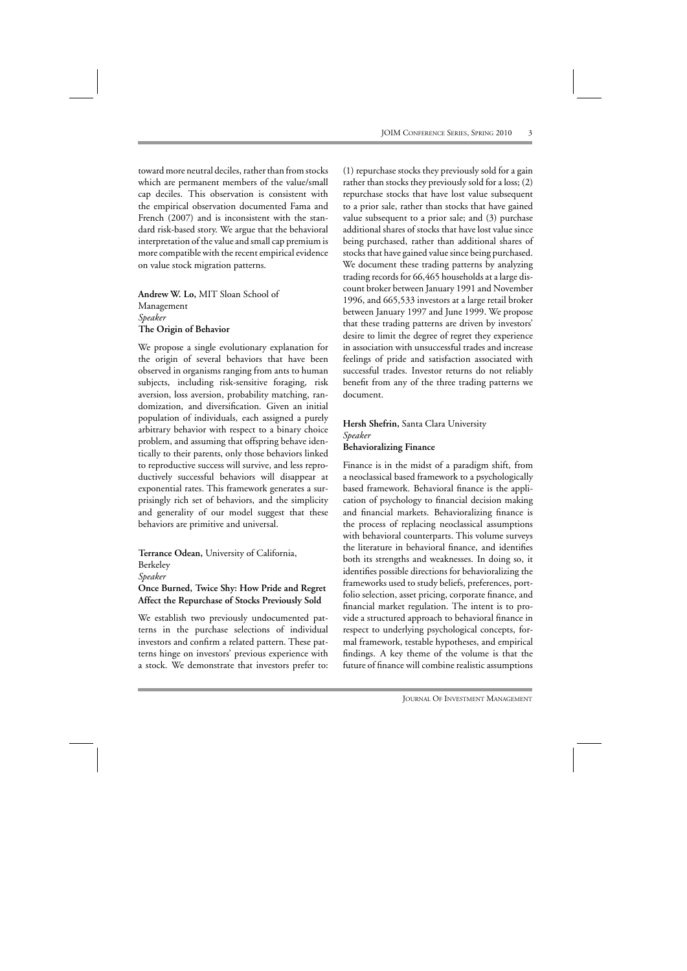toward more neutral deciles, rather than from stocks which are permanent members of the value/small cap deciles. This observation is consistent with the empirical observation documented Fama and French (2007) and is inconsistent with the standard risk-based story. We argue that the behavioral interpretation of the value and small cap premium is more compatible with the recent empirical evidence on value stock migration patterns.

**Andrew W. Lo,** MIT Sloan School of Management *Speaker* **The Origin of Behavior**

We propose a single evolutionary explanation for the origin of several behaviors that have been observed in organisms ranging from ants to human subjects, including risk-sensitive foraging, risk aversion, loss aversion, probability matching, randomization, and diversification. Given an initial population of individuals, each assigned a purely arbitrary behavior with respect to a binary choice problem, and assuming that offspring behave identically to their parents, only those behaviors linked to reproductive success will survive, and less reproductively successful behaviors will disappear at exponential rates. This framework generates a surprisingly rich set of behaviors, and the simplicity and generality of our model suggest that these behaviors are primitive and universal.

**Terrance Odean,** University of California, Berkeley

*Speaker*

## **Once Burned, Twice Shy: How Pride and Regret Affect the Repurchase of Stocks Previously Sold**

We establish two previously undocumented patterns in the purchase selections of individual investors and confirm a related pattern. These patterns hinge on investors' previous experience with a stock. We demonstrate that investors prefer to:

(1) repurchase stocks they previously sold for a gain rather than stocks they previously sold for a loss; (2) repurchase stocks that have lost value subsequent to a prior sale, rather than stocks that have gained value subsequent to a prior sale; and (3) purchase additional shares of stocks that have lost value since being purchased, rather than additional shares of stocks that have gained value since being purchased. We document these trading patterns by analyzing trading records for 66,465 households at a large discount broker between January 1991 and November 1996, and 665,533 investors at a large retail broker between January 1997 and June 1999. We propose that these trading patterns are driven by investors' desire to limit the degree of regret they experience in association with unsuccessful trades and increase feelings of pride and satisfaction associated with successful trades. Investor returns do not reliably benefit from any of the three trading patterns we document.

## **Hersh Shefrin,** Santa Clara University *Speaker* **Behavioralizing Finance**

Finance is in the midst of a paradigm shift, from a neoclassical based framework to a psychologically based framework. Behavioral finance is the application of psychology to financial decision making and financial markets. Behavioralizing finance is the process of replacing neoclassical assumptions with behavioral counterparts. This volume surveys the literature in behavioral finance, and identifies both its strengths and weaknesses. In doing so, it identifies possible directions for behavioralizing the frameworks used to study beliefs, preferences, portfolio selection, asset pricing, corporate finance, and financial market regulation. The intent is to provide a structured approach to behavioral finance in respect to underlying psychological concepts, formal framework, testable hypotheses, and empirical findings. A key theme of the volume is that the future of finance will combine realistic assumptions